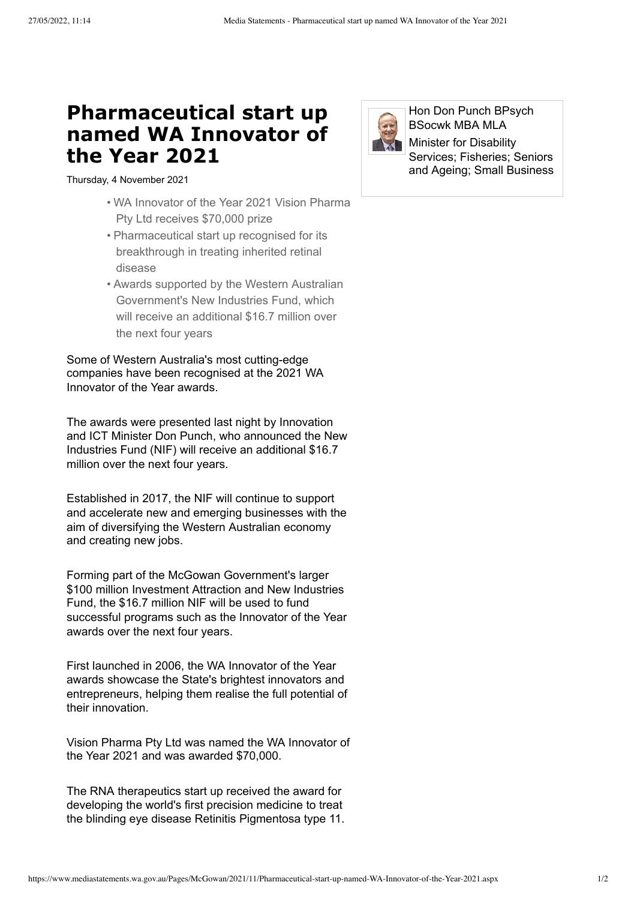## **Pharmaceutical start up named WA Innovator of the Year 2021**

Thursday, 4 November 2021

- WA Innovator of the Year 2021 Vision Pharma Pty Ltd receives \$70,000 prize
- Pharmaceutical start up recognised for its breakthrough in treating inherited retinal disease
- Awards supported by the Western Australian Government's New Industries Fund, which will receive an additional \$16.7 million over the next four years

Some of Western Australia's most cutting-edge companies have been recognised at the 2021 WA Innovator of the Year awards.

The awards were presented last night by Innovation and ICT Minister Don Punch, who announced the New Industries Fund (NIF) will receive an additional \$16.7 million over the next four years.

Established in 2017, the NIF will continue to support and accelerate new and emerging businesses with the aim of diversifying the Western Australian economy and creating new jobs.

Forming part of the McGowan Government's larger \$100 million Investment Attraction and New Industries Fund, the \$16.7 million NIF will be used to fund successful programs such as the Innovator of the Year awards over the next four years.

First launched in 2006, the WA Innovator of the Year awards showcase the State's brightest innovators and entrepreneurs, helping them realise the full potential of their innovation.

Vision Pharma Pty Ltd was named the WA Innovator of the Year 2021 and was awarded \$70,000.

The RNA therapeutics start up received the award for developing the world's first precision medicine to treat the blinding eye disease Retinitis Pigmentosa type 11.



Hon Don Punch BPsych BSocwk MBA MLA

Minister for Disability Services; Fisheries; Seniors and Ageing; Small Business